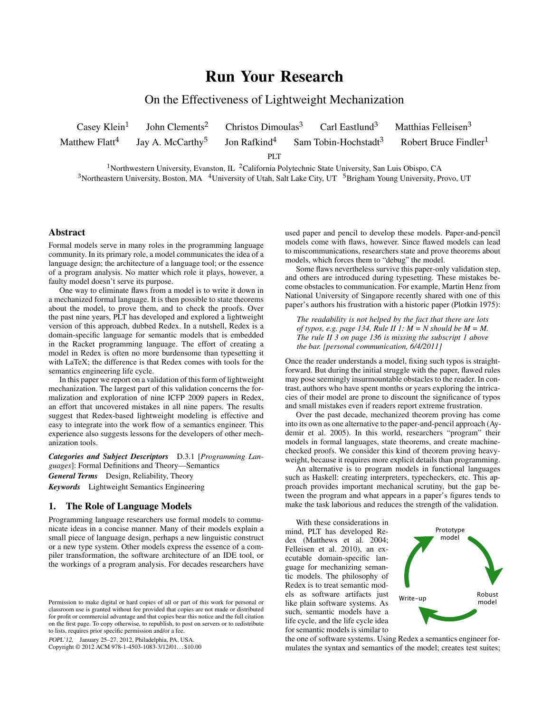# Run Your Research

# On the Effectiveness of Lightweight Mechanization

<span id="page-0-0"></span>Casey Klein<sup>1</sup> John Clements<sup>2</sup> Christos Dimoulas<sup>3</sup> Carl Eastlund<sup>3</sup> Matthias Felleisen<sup>3</sup> Matthew Flatt<sup>4</sup> Jay A. McCarthy<sup>5</sup> Jon Rafkind<sup>4</sup> Sam Tobin-Hochstadt<sup>3</sup> Robert Bruce Findler<sup>1</sup>

PLT

<sup>1</sup>Northwestern University, Evanston, IL <sup>2</sup>California Polytechnic State University, San Luis Obispo, CA  $3$ Northeastern University, Boston, MA  $4$ University of Utah, Salt Lake City, UT  $5$ Brigham Young University, Provo, UT

# Abstract

Formal models serve in many roles in the programming language community. In its primary role, a model communicates the idea of a language design; the architecture of a language tool; or the essence of a program analysis. No matter which role it plays, however, a faulty model doesn't serve its purpose.

One way to eliminate flaws from a model is to write it down in a mechanized formal language. It is then possible to state theorems about the model, to prove them, and to check the proofs. Over the past nine years, PLT has developed and explored a lightweight version of this approach, dubbed Redex. In a nutshell, Redex is a domain-specific language for semantic models that is embedded in the Racket programming language. The effort of creating a model in Redex is often no more burdensome than typesetting it with LaTeX; the difference is that Redex comes with tools for the semantics engineering life cycle.

In this paper we report on a validation of this form of lightweight mechanization. The largest part of this validation concerns the formalization and exploration of nine ICFP 2009 papers in Redex, an effort that uncovered mistakes in all nine papers. The results suggest that Redex-based lightweight modeling is effective and easy to integrate into the work flow of a semantics engineer. This experience also suggests lessons for the developers of other mechanization tools.

*Categories and Subject Descriptors* D.3.1 [*Programming Languages*]: Formal Definitions and Theory—Semantics

*General Terms* Design, Reliability, Theory

*Keywords* Lightweight Semantics Engineering

# 1. The Role of Language Models

Programming language researchers use formal models to communicate ideas in a concise manner. Many of their models explain a small piece of language design, perhaps a new linguistic construct or a new type system. Other models express the essence of a compiler transformation, the software architecture of an IDE tool, or the workings of a program analysis. For decades researchers have

POPL'12, January 25–27, 2012, Philadelphia, PA, USA.

Copyright © 2012 ACM 978-1-4503-1083-3/12/01. . . \$10.00

used paper and pencil to develop these models. Paper-and-pencil models come with flaws, however. Since flawed models can lead to miscommunications, researchers state and prove theorems about models, which forces them to "debug" the model.

Some flaws nevertheless survive this paper-only validation step, and others are introduced during typesetting. These mistakes become obstacles to communication. For example, Martin Henz from National University of Singapore recently shared with one of this paper's authors his frustration with a historic paper (Plotkin 1975):

*The readability is not helped by the fact that there are lots of typos, e.g. page 134, Rule II 1: M = N should be M = M. The rule II 3 on page 136 is missing the subscript 1 above the bar. [personal communication, 6/4/2011]*

Once the reader understands a model, fixing such typos is straightforward. But during the initial struggle with the paper, flawed rules may pose seemingly insurmountable obstacles to the reader. In contrast, authors who have spent months or years exploring the intricacies of their model are prone to discount the significance of typos and small mistakes even if readers report extreme frustration.

Over the past decade, mechanized theorem proving has come into its own as one alternative to the paper-and-pencil approach (Aydemir et al. 2005). In this world, researchers "program" their models in formal languages, state theorems, and create machinechecked proofs. We consider this kind of theorem proving heavyweight, because it requires more explicit details than programming.

An alternative is to program models in functional languages such as Haskell: creating interpreters, typecheckers, etc. This approach provides important mechanical scrutiny, but the gap between the program and what appears in a paper's figures tends to make the task laborious and reduces the strength of the validation.

With these considerations in mind, PLT has developed Redex (Matthews et al. 2004; Felleisen et al. 2010), an executable domain-specific language for mechanizing semantic models. The philosophy of Redex is to treat semantic models as software artifacts just like plain software systems. As such, semantic models have a life cycle, and the life cycle idea for semantic models is similar to



the one of software systems. Using Redex a semantics engineer formulates the syntax and semantics of the model; creates test suites;

Permission to make digital or hard copies of all or part of this work for personal or classroom use is granted without fee provided that copies are not made or distributed for profit or commercial advantage and that copies bear this notice and the full citation on the first page. To copy otherwise, to republish, to post on servers or to redistribute to lists, requires prior specific permission and/or a fee.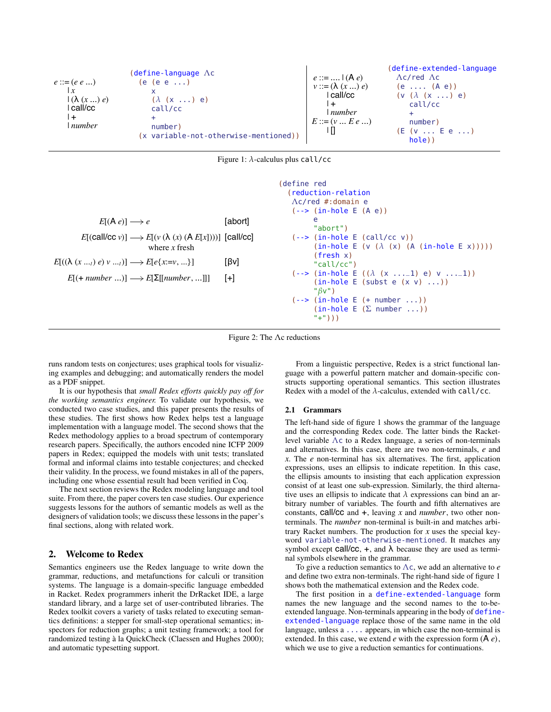| $e ::= (e \ e \  )$<br>$\vert x$<br>$(\lambda(x \ldots) e)$<br>l call/cc<br>$\overline{+}$<br>  number | $\theta$ (define-language $\Lambda c$<br>$(e (e e \ldots))$<br>$(\lambda$ $(x \ldots)$ e)<br>call/cc<br>number)<br>(x variable-not-otherwise-mentioned)) | $e ::=  \mid (A e)$<br>$v ::= (\lambda (x \dots) e)$<br>I call/cc<br>  number<br>$E ::= (v \dots E e \dots)$ | (define-extended-language)<br>$\Lambda$ c/red $\Lambda$ c<br>$(e \ldots (A e))$<br>$(v (\lambda (x )) e)$<br>call/cc<br>number)<br>(E (v  E e ) |
|--------------------------------------------------------------------------------------------------------|----------------------------------------------------------------------------------------------------------------------------------------------------------|--------------------------------------------------------------------------------------------------------------|-------------------------------------------------------------------------------------------------------------------------------------------------|
|                                                                                                        |                                                                                                                                                          |                                                                                                              | hole()                                                                                                                                          |

Figure 1:  $\lambda$ -calculus plus call/cc

|                                                                                                      |         | (define red<br>(reduction-relation                                                                           |
|------------------------------------------------------------------------------------------------------|---------|--------------------------------------------------------------------------------------------------------------|
|                                                                                                      |         | $\Lambda$ c/red #:domain e<br>$(-\rightarrow (in-hole E (A e))$                                              |
| $E[(A e)] \longrightarrow e$                                                                         | [abort] | e<br>"abort")                                                                                                |
| $E[$ (call/cc v)] $\longrightarrow E[$ (v ( $\lambda(x)$ (A $E[x]$ )))] [call/cc]<br>where $x$ fresh |         | $(-\rightarrow$ (in-hole E (call/cc v))<br>$(in-hole E (v (\lambda (x) (A (in-hole E x))))))$<br>(fresh x)   |
| $E[(\lambda (x ), e) v )] \longrightarrow E[e\{x = v, \}]$                                           | [Bv]    | "call/cc")                                                                                                   |
| $E[(+ number ) ] \longrightarrow E[\Sigma[number,]]]$                                                | $[+]$   | $(-\rightarrow$ (in-hole E (( $\lambda$ (x _1) e) v _1))<br>$(in-hole E (subset e (x v) ))$<br>" $\beta$ v") |
|                                                                                                      |         | $(-\rightarrow (in-hole E (+ number ))$<br>$(in-hole E (Σ number ))$<br>$"+'$                                |

Figure 2: The  $\Lambda$ c reductions

runs random tests on conjectures; uses graphical tools for visualizing examples and debugging; and automatically renders the model as a PDF snippet.

It is our hypothesis that small Redex efforts quickly pay off for the working semantics engineer. To validate our hypothesis, we conducted two case studies, and this paper presents the results of these studies. The first shows how Redex helps test a language implementation with a language model. The second shows that the Redex methodology applies to a broad spectrum of contemporary research papers. Specifically, the authors encoded nine ICFP 2009 papers in Redex; equipped the models with unit tests; translated formal and informal claims into testable conjectures; and checked their validity. In the process, we found mistakes in all of the papers, including one whose essential result had been verified in Coq.

The next section reviews the Redex modeling language and tool suite. From there, the paper covers ten case studies. Our experience suggests lessons for the authors of semantic models as well as the designers of validation tools; we discuss these lessons in the paper's final sections, along with related work.

#### $2.$ **Welcome to Redex**

Semantics engineers use the Redex language to write down the grammar, reductions, and metafunctions for calculi or transition systems. The language is a domain-specific language embedded in Racket. Redex programmers inherit the DrRacket IDE, a large standard library, and a large set of user-contributed libraries. The Redex toolkit covers a variety of tasks related to executing semantics definitions: a stepper for small-step operational semantics; inspectors for reduction graphs; a unit testing framework; a tool for randomized testing à la QuickCheck (Claessen and Hughes 2000); and automatic typesetting support.

From a linguistic perspective, Redex is a strict functional language with a powerful pattern matcher and domain-specific constructs supporting operational semantics. This section illustrates Redex with a model of the  $\lambda$ -calculus, extended with call/cc.

#### 2.1 Grammars

The left-hand side of figure 1 shows the grammar of the language and the corresponding Redex code. The latter binds the Racketlevel variable  $\Lambda c$  to a Redex language, a series of non-terminals and alternatives. In this case, there are two non-terminals,  $e$  and x. The  $e$  non-terminal has six alternatives. The first, application expressions, uses an ellipsis to indicate repetition. In this case, the ellipsis amounts to insisting that each application expression consist of at least one sub-expression. Similarly, the third alternative uses an ellipsis to indicate that  $\lambda$  expressions can bind an arbitrary number of variables. The fourth and fifth alternatives are constants, call/cc and  $+$ , leaving x and *number*, two other nonterminals. The *number* non-terminal is built-in and matches arbitrary Racket numbers. The production for  $x$  uses the special keyword variable-not-otherwise-mentioned. It matches any symbol except  $\text{call}/\text{CC}, +$ , and  $\lambda$  because they are used as terminal symbols elsewhere in the grammar.

To give a reduction semantics to  $\Lambda c$ , we add an alternative to e and define two extra non-terminals. The right-hand side of figure 1 shows both the mathematical extension and the Redex code.

The first position in a define-extended-language form names the new language and the second names to the to-beextended language. Non-terminals appearing in the body of defineextended-language replace those of the same name in the old language, unless a . . . . appears, in which case the non-terminal is extended. In this case, we extend e with the expression form  $(A e)$ , which we use to give a reduction semantics for continuations.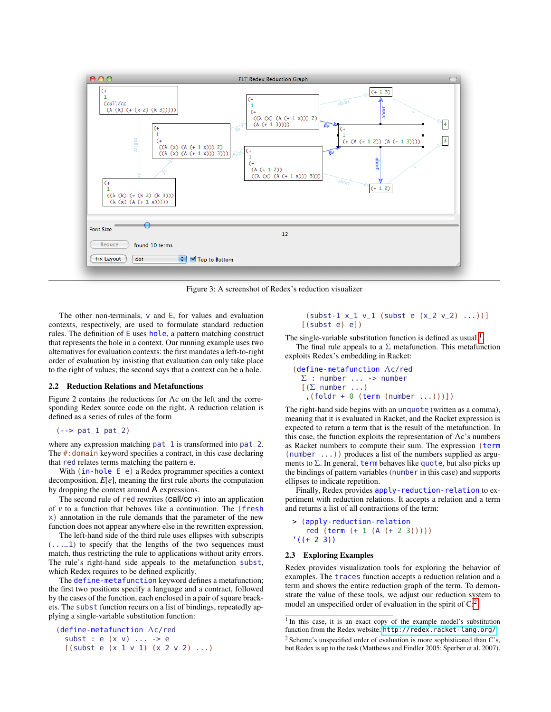

Figure 3: A screenshot of Redex's reduction visualizer

The other non-terminals, v and E, for values and evaluation contexts, respectively, are used to formulate standard reduction rules. The definition of E uses hole, a pattern matching construct that represents the hole in a context. Our running example uses two alternatives for evaluation contexts: the first mandates a left-to-right order of evaluation by insisting that evaluation can only take place to the right of values; the second says that a context can be a hole.

#### 2.2 Reduction Relations and Metafunctions

Figure 2 contains the reductions for Λc on the left and the corresponding Redex source code on the right. A reduction relation is defined as a series of rules of the form

```
(--> pat_1 pat_2)
```
where any expression matching pat\_1 is transformed into pat\_2. The #:domain keyword specifies a contract, in this case declaring that red relates terms matching the pattern e.

With (in-hole E e) a Redex programmer specifies a context decomposition,  $E[e]$ , meaning the first rule aborts the computation by dropping the context around  $\overrightarrow{A}$  expressions.

The second rule of red rewrites  $\overline{(call/CC \nu)}$  into an application of  $\nu$  to a function that behaves like a continuation. The (fresh x) annotation in the rule demands that the parameter of the new function does not appear anywhere else in the rewritten expression.

The left-hand side of the third rule uses ellipses with subscripts  $(\ldots)$  to specify that the lengths of the two sequences must match, thus restricting the rule to applications without arity errors. The rule's right-hand side appeals to the metafunction subst, which Redex requires to be defined explicitly.

The **define-metafunction** keyword defines a metafunction; the first two positions specify a language and a contract, followed by the cases of the function, each enclosed in a pair of square brackets. The subst function recurs on a list of bindings, repeatedly applying a single-variable substitution function:

```
(define-metafunction Λc/red
 subst : e (x v) ... -> e
 [(subst e (x_1 v_1) (x_2 v_2) ...)]
```
#### $(subst-1 x_1 v_1 (subst e (x_2 v_2) ...))$ [(subst e) e])

The single-variable substitution function is defined as usual.<sup>[1](#page-2-0)</sup>

The final rule appeals to a  $\Sigma$  metafunction. This metafunction exploits Redex's embedding in Racket:

(define-metafunction Λc/red Σ : number ... -> number  $[(\Sigma$  number ...)  $,(foldr + 0 (term (number ...)))$ 

The right-hand side begins with an unquote (written as a comma), meaning that it is evaluated in Racket, and the Racket expression is expected to return a term that is the result of the metafunction. In this case, the function exploits the representation of  $\Lambda$ c's numbers as Racket numbers to compute their sum. The expression (term (number ...)) produces a list of the numbers supplied as arguments to  $\Sigma$ . In general, term behaves like quote, but also picks up the bindings of pattern variables (number in this case) and supports ellipses to indicate repetition.

Finally, Redex provides apply-reduction-relation to experiment with reduction relations. It accepts a relation and a term and returns a list of all contractions of the term:

```
> (apply-reduction-relation
   red (term (+ 1 (A (+ 2 3)))))
'((+ 2 3))
```
#### 2.3 Exploring Examples

Redex provides visualization tools for exploring the behavior of examples. The traces function accepts a reduction relation and a term and shows the entire reduction graph of the term. To demonstrate the value of these tools, we adjust our reduction system to model an unspecified order of evaluation in the spirit of  $C<sup>2</sup>$  $C<sup>2</sup>$  $C<sup>2</sup>$ 

<span id="page-2-0"></span><sup>&</sup>lt;sup>1</sup> In this case, it is an exact copy of the example model's substitution function from the Redex website: <http://redex.racket-lang.org/>.

<span id="page-2-1"></span><sup>2</sup> Scheme's unspecified order of evaluation is more sophisticated than C's, but Redex is up to the task (Matthews and Findler 2005; Sperber et al. 2007).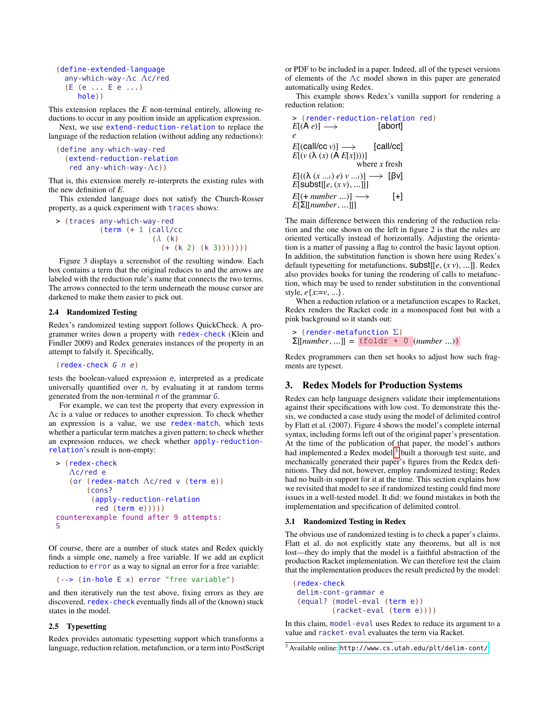```
(define-extended-language
 any-which-way-\Lambdac \Lambdac/red
  (E (e ... E e ...))hole()
```
This extension replaces the  $E$  non-terminal entirely, allowing reductions to occur in any position inside an application expression.

Next, we use extend-reduction-relation to replace the language of the reduction relation (without adding any reductions):

```
(define any-which-way-red
  (extend-reduction-relation
   red any-which-way-\Lambda c))
```
That is, this extension merely re-interprets the existing rules with the new definition of  $E$ .

This extended language does not satisfy the Church-Rosser property, as a quick experiment with traces shows:

```
> (traces any-which-way-red
          term (+ 1 (call/cc(\lambda (k)
                         (+ (k 2) (k 3)))))
```
Figure 3 displays a screenshot of the resulting window. Each box contains a term that the original reduces to and the arrows are labeled with the reduction rule's name that connects the two terms. The arrows connected to the term underneath the mouse cursor are darkened to make them easier to pick out.

#### 2.4 Randomized Testing

Redex's randomized testing support follows QuickCheck. A programmer writes down a property with redex-check (Klein and Findler 2009) and Redex generates instances of the property in an attempt to falsify it. Specifically,

#### $(\text{redex-check } G \ n e)$

tests the boolean-valued expression e, interpreted as a predicate universally quantified over  $n$ , by evaluating it at random terms generated from the non-terminal  $n$  of the grammar  $G$ .

For example, we can test the property that every expression in Ac is a value or reduces to another expression. To check whether an expression is a value, we use redex-match, which tests whether a particular term matches a given pattern; to check whether an expression reduces, we check whether apply-reductionrelation's result is non-empty:

```
> (redex-check
   \Lambdac/red e
   (or (redex-match \Lambdac/red v (term e))
        (cons?
         (apply-reduction-relation
          red (term e))))counterexample found after 9 attempts:
-S
```
Of course, there are a number of stuck states and Redex quickly finds a simple one, namely a free variable. If we add an explicit reduction to error as a way to signal an error for a free variable:

(--> (in-hole E x) error "free variable")

and then iteratively run the test above, fixing errors as they are discovered, redex - check eventually finds all of the (known) stuck states in the model.

### 2.5 Typesetting

Redex provides automatic typesetting support which transforms a language, reduction relation, metafunction, or a term into PostScript or PDF to be included in a paper. Indeed, all of the typeset versions of elements of the  $\Lambda c$  model shown in this paper are generated automatically using Redex.

This example shows Redex's vanilla support for rendering a reduction relation:

$$
E[(A e)] → [a]
$$
\n
$$
E[(A e)] → [a]
$$
\n
$$
E[(call/cc v)] → [call/cc]
$$
\n
$$
E[(v (λ (x) (A E[x)]))]
$$
\n
$$
= [ev (λ (x ... x) e) v ... x x]
$$
\n
$$
E[(x (λ (x ... x) e) v ... x x x)] → [βv]
$$
\n
$$
E[subst[[e, (x v), ...]]]
$$
\n
$$
E[(+ number ...)] → [+]
$$
\n
$$
E[\Sigma[[number, ...]]]
$$

The main difference between this rendering of the reduction relation and the one shown on the left in figure 2 is that the rules are oriented vertically instead of horizontally. Adjusting the orientation is a matter of passing a flag to control the basic layout option. In addition, the substitution function is shown here using Redex's default typesetting for metafunctions,  $\text{subst}[[e, (x v),...]$ . Redex also provides hooks for tuning the rendering of calls to metafunction, which may be used to render substitution in the conventional style,  $e\{x:=v, ...\}$ .

When a reduction relation or a metafunction escapes to Racket, Redex renders the Racket code in a monospaced font but with a pink background so it stands out:

```
> (render-metafunction \Sigma)
\Sigma[[number,...]] = (foldr + 0 (number...))
```
Redex programmers can then set hooks to adjust how such fragments are typeset.

### 3. Redex Models for Production Systems

Redex can help language designers validate their implementations against their specifications with low cost. To demonstrate this thesis, we conducted a case study using the model of delimited control by Flatt et al. (2007). Figure 4 shows the model's complete internal syntax, including forms left out of the original paper's presentation. At the time of the publication of that paper, the model's authors had implemented a Redex model, $3$  built a thorough test suite, and mechanically generated their paper's figures from the Redex definitions. They did not, however, employ randomized testing; Redex had no built-in support for it at the time. This section explains how we revisited that model to see if randomized testing could find more issues in a well-tested model. It did: we found mistakes in both the implementation and specification of delimited control.

#### 3.1 Randomized Testing in Redex

The obvious use of randomized testing is to check a paper's claims. Flatt et al. do not explicitly state any theorems, but all is not lost—they do imply that the model is a faithful abstraction of the production Racket implementation. We can therefore test the claim that the implementation produces the result predicted by the model:

```
(redex-check
delim-cont-grammar e
(equal? (model-eval (term e))
        (racket-eval (term e)))
```
In this claim, model-eval uses Redex to reduce its argument to a value and racket-eval evaluates the term via Racket.

<span id="page-3-0"></span><sup>&</sup>lt;sup>3</sup> Available online: http://www.cs.utah.edu/plt/delim-cont/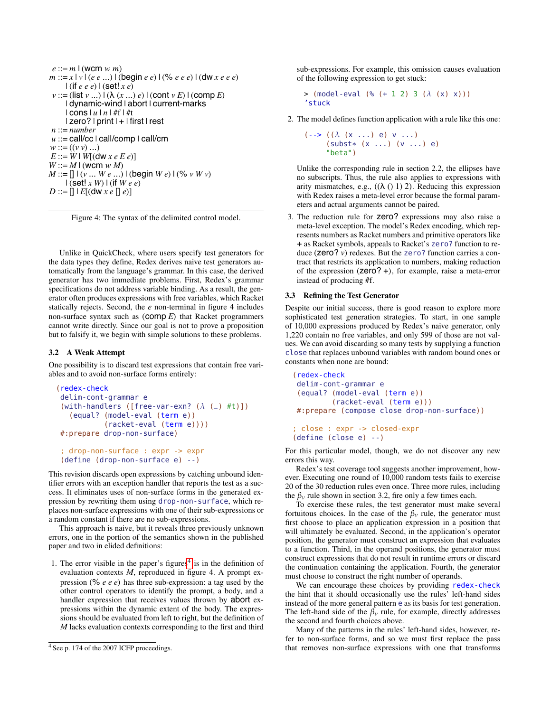```
e ::= m \mid (wcm w m)m ::= x | v | (e e ...) | (begin e e e) | (% e e e) | (dw x e e e)\left| \right| (if e e e) \left| \right| (set! x e)
 v ::= (list v ... ) | (\lambda (x ... ) e) | (cont v E) | (comp E)I dynamic-wind I abort I current-marks
      \lfloor \cosh u \rfloor \lfloor n \rfloor #f \rfloor #t| zero? | print | + | first | rest
 n ::= numberu ::= call/cc | call/comp | call/cm
w ::= ((v v) ...)E ::= W \mid W[(dw \times e \ E \ e)]W ::= M \mid (wcm w M)M ::= \prod (v ... W e ...) (begin W e) (% v W v)\overline{\text{[Set]}} x W \ \ (if W e e)
D ::= []\mid E[(dw \times e \mid e)]
```
Figure 4: The syntax of the delimited control model.

Unlike in QuickCheck, where users specify test generators for the data types they define, Redex derives naive test generators automatically from the language's grammar. In this case, the derived generator has two immediate problems. First, Redex's grammar specifications do not address variable binding. As a result, the generator often produces expressions with free variables, which Racket statically rejects. Second, the  $e$  non-terminal in figure 4 includes non-surface syntax such as  $(\text{comp } E)$  that Racket programmers cannot write directly. Since our goal is not to prove a proposition but to falsify it, we begin with simple solutions to these problems.

#### 3.2 A Weak Attempt

One possibility is to discard test expressions that contain free variables and to avoid non-surface forms entirely:

```
(redex-check
delim-cont-grammar e
(with-handlers ([free-var-exn? (\lambda (_) #t)])
   (equal? (model-eval (term e))
           (racket-eval (term e))))
#: prepare drop-non-surface)
; drop-non-surface : expr -> expr
(define (drop-non-surface e) --)
```
This revision discards open expressions by catching unbound identifier errors with an exception handler that reports the test as a success. It eliminates uses of non-surface forms in the generated expression by rewriting them using drop-non-surface, which replaces non-surface expressions with one of their sub-expressions or a random constant if there are no sub-expressions.

This approach is naive, but it reveals three previously unknown errors, one in the portion of the semantics shown in the published paper and two in elided definitions:

1. The error visible in the paper's figures<sup>4</sup> is in the definition of evaluation contexts  $M$ , reproduced in figure 4. A prompt expression (% *e e e*) has three sub-expression: a tag used by the other control operators to identify the prompt, a body, and a handler expression that receives values thrown by abort expressions within the dynamic extent of the body. The expressions should be evaluated from left to right, but the definition of  $M$  lacks evaluation contexts corresponding to the first and third

```
<sup>4</sup> See p. 174 of the 2007 ICFP proceedings.
```
sub-expressions. For example, this omission causes evaluation of the following expression to get stuck:

```
> (model-eval (% (+ 1 2) 3 (<math>\lambda</math> (x) x)))'stuck
```
2. The model defines function application with a rule like this one:

```
(- -\geq ((\lambda (x ...)) e) v ...)(subst* (x ...)(v ...) e)"beta")
```
Unlike the corresponding rule in section 2.2, the ellipses have no subscripts. Thus, the rule also applies to expressions with arity mismatches, e.g.,  $((\lambda)(1) 2)$ . Reducing this expression with Redex raises a meta-level error because the formal parameters and actual arguments cannot be paired.

3. The reduction rule for zero? expressions may also raise a meta-level exception. The model's Redex encoding, which represents numbers as Racket numbers and primitive operators like + as Racket symbols, appeals to Racket's zero? function to reduce ( $\text{zero? } v$ ) redexes. But the zero? function carries a contract that restricts its application to numbers, making reduction of the expression  $(zero? +)$ , for example, raise a meta-error instead of producing #f.

#### 3.3 Refining the Test Generator

Despite our initial success, there is good reason to explore more sophisticated test generation strategies. To start, in one sample of 10,000 expressions produced by Redex's naive generator, only 1,220 contain no free variables, and only 599 of those are not values. We can avoid discarding so many tests by supplying a function close that replaces unbound variables with random bound ones or constants when none are bound:

```
(redex-check
delim-cont-grammar e
(equal? (model-eval (term e))
         (racket-eval (term e)))
#:prepare (compose close drop-non-surface))
; close : expr -> closed-expr
(define (close e) --)
```
For this particular model, though, we do not discover any new errors this way.

Redex's test coverage tool suggests another improvement, however. Executing one round of 10,000 random tests fails to exercise 20 of the 30 reduction rules even once. Three more rules, including the  $\beta_v$  rule shown in section 3.2, fire only a few times each.

To exercise these rules, the test generator must make several fortuitous choices. In the case of the  $\beta_v$  rule, the generator must first choose to place an application expression in a position that will ultimately be evaluated. Second, in the application's operator position, the generator must construct an expression that evaluates to a function. Third, in the operand positions, the generator must construct expressions that do not result in runtime errors or discard the continuation containing the application. Fourth, the generator must choose to construct the right number of operands.

We can encourage these choices by providing redex-check the hint that it should occasionally use the rules' left-hand sides instead of the more general pattern e as its basis for test generation. The left-hand side of the  $\bar{\beta}_v$  rule, for example, directly addresses the second and fourth choices above.

Many of the patterns in the rules' left-hand sides, however, refer to non-surface forms, and so we must first replace the pass that removes non-surface expressions with one that transforms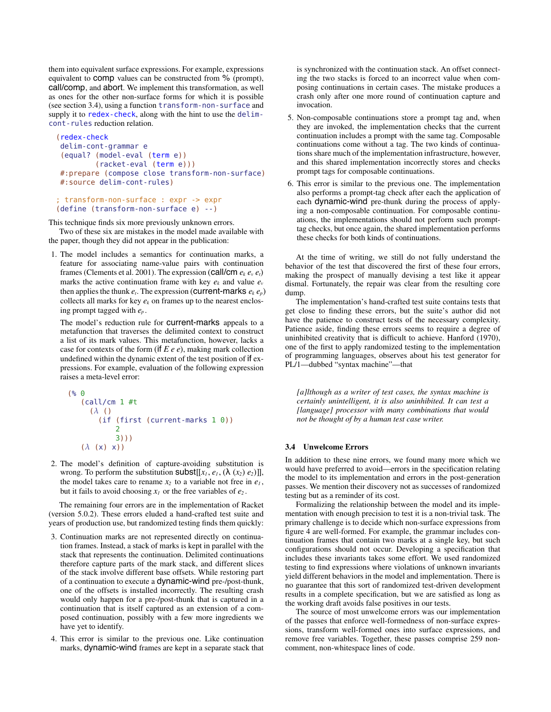them into equivalent surface expressions. For example, expressions equivalent to **comp** values can be constructed from  $\%$  (prompt), call/comp, and abort. We implement this transformation, as well as ones for the other non-surface forms for which it is possible (see section 3.4), using a function transform-non-surface and supply it to redex-check, along with the hint to use the delimcont-rules reduction relation.

```
(redex-check
delim-cont-grammar e
(equal? (model-eval (term e))
         (racket-eval (term e)))
#:prepare (compose close transform-non-surface)
#:source delim-cont-rules)
```

```
; transform-non-surface : expr -> expr
(define (transform-non-surface e) --)
```
This technique finds six more previously unknown errors.

Two of these six are mistakes in the model made available with the paper, though they did not appear in the publication:

1. The model includes a semantics for continuation marks, a feature for associating name-value pairs with continuation frames (Clements et al. 2001). The expression (call/cm  $e_k$   $e_v$   $e_l$ ) marks the active continuation frame with key  $e_k$  and value  $e_\nu$ then applies the thunk  $e_t$ . The expression (**Current-marks**  $e_k e_p$ ) collects all marks for key  $e_k$  on frames up to the nearest enclosing prompt tagged with  $e_p$ .

The model's reduction rule for **current-marks** appeals to a metafunction that traverses the delimited context to construct a list of its mark values. This metafunction, however, lacks a case for contexts of the form (if  $E e e$ ), making mark collection undefined within the dynamic extent of the test position of if expressions. For example, evaluation of the following expression raises a meta-level error:

```
(% \theta(call/cm 1 #t
     (λ ()
       (if (first (current-marks 1 0))
            2
          3)))
   (λ (x) x))
```
2. The model's definition of capture-avoiding substitution is wrong. To perform the substitution **subst**[[ $x_1, e_1$ , ( $\lambda$  ( $x_2$ )  $e_2$ )]], the model takes care to rename  $x_2$  to a variable not free in  $e_1$ , but it fails to avoid choosing  $x_i$  or the free variables of  $e_2$ .

The remaining four errors are in the implementation of Racket (version 5.0.2). These errors eluded a hand-crafted test suite and years of production use, but randomized testing finds them quickly:

- 3. Continuation marks are not represented directly on continuation frames. Instead, a stack of marks is kept in parallel with the stack that represents the continuation. Delimited continuations therefore capture parts of the mark stack, and different slices of the stack involve different base offsets. While restoring part of a continuation to execute a dynamic-wind pre-/post-thunk, one of the offsets is installed incorrectly. The resulting crash would only happen for a pre-/post-thunk that is captured in a continuation that is itself captured as an extension of a composed continuation, possibly with a few more ingredients we have yet to identify.
- 4. This error is similar to the previous one. Like continuation marks, dynamic-wind frames are kept in a separate stack that

is synchronized with the continuation stack. An offset connecting the two stacks is forced to an incorrect value when composing continuations in certain cases. The mistake produces a crash only after one more round of continuation capture and invocation.

- 5. Non-composable continuations store a prompt tag and, when they are invoked, the implementation checks that the current continuation includes a prompt with the same tag. Composable continuations come without a tag. The two kinds of continuations share much of the implementation infrastructure, however, and this shared implementation incorrectly stores and checks prompt tags for composable continuations.
- 6. This error is similar to the previous one. The implementation also performs a prompt-tag check after each the application of each dynamic-wind pre-thunk during the process of applying a non-composable continuation. For composable continuations, the implementations should not perform such prompttag checks, but once again, the shared implementation performs these checks for both kinds of continuations.

At the time of writing, we still do not fully understand the behavior of the test that discovered the first of these four errors, making the prospect of manually devising a test like it appear dismal. Fortunately, the repair was clear from the resulting core dump.

The implementation's hand-crafted test suite contains tests that get close to finding these errors, but the suite's author did not have the patience to construct tests of the necessary complexity. Patience aside, finding these errors seems to require a degree of uninhibited creativity that is difficult to achieve. Hanford (1970), one of the first to apply randomized testing to the implementation of programming languages, observes about his test generator for PL/1—dubbed "syntax machine"—that

*[a]lthough as a writer of test cases, the syntax machine is certainly unintelligent, it is also uninhibited. It can test a [language] processor with many combinations that would not be thought of by a human test case writer.*

## 3.4 Unwelcome Errors

In addition to these nine errors, we found many more which we would have preferred to avoid—errors in the specification relating the model to its implementation and errors in the post-generation passes. We mention their discovery not as successes of randomized testing but as a reminder of its cost.

Formalizing the relationship between the model and its implementation with enough precision to test it is a non-trivial task. The primary challenge is to decide which non-surface expressions from figure 4 are well-formed. For example, the grammar includes continuation frames that contain two marks at a single key, but such configurations should not occur. Developing a specification that includes these invariants takes some effort. We used randomized testing to find expressions where violations of unknown invariants yield different behaviors in the model and implementation. There is no guarantee that this sort of randomized test-driven development results in a complete specification, but we are satisfied as long as the working draft avoids false positives in our tests.

The source of most unwelcome errors was our implementation of the passes that enforce well-formedness of non-surface expressions, transform well-formed ones into surface expressions, and remove free variables. Together, these passes comprise 259 noncomment, non-whitespace lines of code.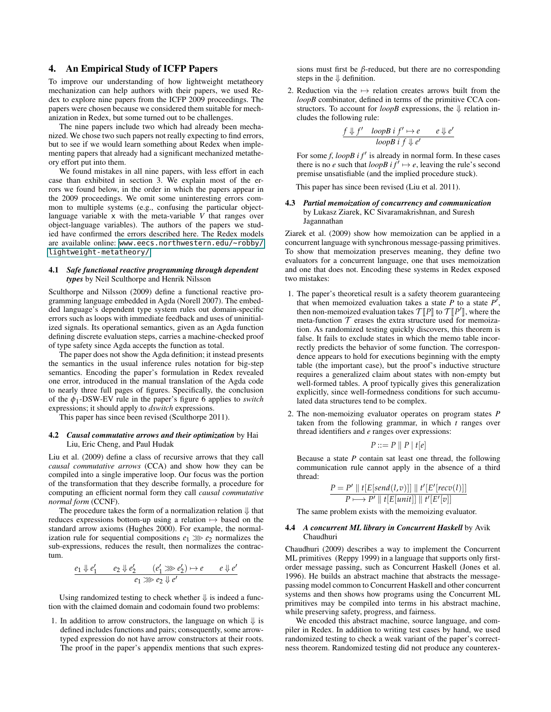# 4. An Empirical Study of ICFP Papers

To improve our understanding of how lightweight metatheory mechanization can help authors with their papers, we used Redex to explore nine papers from the ICFP 2009 proceedings. The papers were chosen because we considered them suitable for mechanization in Redex, but some turned out to be challenges.

The nine papers include two which had already been mechanized. We chose two such papers not really expecting to find errors, but to see if we would learn something about Redex when implementing papers that already had a significant mechanized metatheory effort put into them.

We found mistakes in all nine papers, with less effort in each case than exhibited in section 3. We explain most of the errors we found below, in the order in which the papers appear in the 2009 proceedings. We omit some uninteresting errors common to multiple systems (e.g., confusing the particular objectlanguage variable x with the meta-variable *V* that ranges over object-language variables). The authors of the papers we studied have confirmed the errors described here. The Redex models are available online: [www.eecs.northwestern.edu/~robby/](#page-0-0) [lightweight-metatheory/](#page-0-0)

#### 4.1 *Safe functional reactive programming through dependent types* by Neil Sculthorpe and Henrik Nilsson

Sculthorpe and Nilsson (2009) define a functional reactive programming language embedded in Agda (Norell 2007). The embedded language's dependent type system rules out domain-specific errors such as loops with immediate feedback and uses of uninitialized signals. Its operational semantics, given as an Agda function defining discrete evaluation steps, carries a machine-checked proof of type safety since Agda accepts the function as total.

The paper does not show the Agda definition; it instead presents the semantics in the usual inference rules notation for big-step semantics. Encoding the paper's formulation in Redex revealed one error, introduced in the manual translation of the Agda code to nearly three full pages of figures. Specifically, the conclusion of the *φ*1 -DSW-EV rule in the paper's figure 6 applies to *switch* expressions; it should apply to *dswitch* expressions.

This paper has since been revised (Sculthorpe 2011).

#### 4.2 *Causal commutative arrows and their optimization* by Hai Liu, Eric Cheng, and Paul Hudak

Liu et al. (2009) define a class of recursive arrows that they call *causal commutative arrows* (CCA) and show how they can be compiled into a single imperative loop. Our focus was the portion of the transformation that they describe formally, a procedure for computing an efficient normal form they call *causal commutative normal form* (CCNF).

The procedure takes the form of a normalization relation  $\Downarrow$  that reduces expressions bottom-up using a relation  $\mapsto$  based on the standard arrow axioms (Hughes 2000). For example, the normalization rule for sequential compositions  $e_1 \gg e_2$  normalizes the sub-expressions, reduces the result, then normalizes the contractum.

$$
\frac{e_1 \Downarrow e'_1 \qquad e_2 \Downarrow e'_2 \qquad (e'_1 \ggg e'_2) \mapsto e \qquad e \Downarrow e'}{e_1 \ggg e_2 \Downarrow e'}
$$

Using randomized testing to check whether  $\Downarrow$  is indeed a function with the claimed domain and codomain found two problems:

1. In addition to arrow constructors, the language on which  $\Downarrow$  is defined includes functions and pairs; consequently, some arrowtyped expression do not have arrow constructors at their roots. The proof in the paper's appendix mentions that such expressions must first be  $\beta$ -reduced, but there are no corresponding steps in the  $\Downarrow$  definition.

2. Reduction via the  $\mapsto$  relation creates arrows built from the *loopB* combinator, defined in terms of the primitive CCA constructors. To account for *loopB* expressions, the  $\Downarrow$  relation includes the following rule:

$$
\frac{f \Downarrow f' \quad loopB \, i \, f' \mapsto e \qquad e \Downarrow e'}{loopB \, i \, f \Downarrow e'}
$$

For some  $f$ ,  $loopB$   $if'$  is already in normal form. In these cases there is no *e* such that *loopB*  $if' \mapsto e$ , leaving the rule's second premise unsatisfiable (and the implied procedure stuck).

This paper has since been revised (Liu et al. 2011).

#### 4.3 *Partial memoization of concurrency and communication* by Lukasz Ziarek, KC Sivaramakrishnan, and Suresh Jagannathan

Ziarek et al. (2009) show how memoization can be applied in a concurrent language with synchronous message-passing primitives. To show that memoization preserves meaning, they define two evaluators for a concurrent language, one that uses memoization and one that does not. Encoding these systems in Redex exposed two mistakes:

- 1. The paper's theoretical result is a safety theorem guaranteeing that when memoized evaluation takes a state  $P$  to a state  $P'$ , then non-memoized evaluation takes  $\mathcal{T}[P]$  to  $\mathcal{T}[P']$ , where the meta-function  $\mathcal{T}$  erases the extra structure used for memoizameta-function  $T$  erases the extra structure used for memoization. As randomized testing quickly discovers, this theorem is false. It fails to exclude states in which the memo table incorrectly predicts the behavior of some function. The correspondence appears to hold for executions beginning with the empty table (the important case), but the proof's inductive structure requires a generalized claim about states with non-empty but well-formed tables. A proof typically gives this generalization explicitly, since well-formedness conditions for such accumulated data structures tend to be complex.
- 2. The non-memoizing evaluator operates on program states *P* taken from the following grammar, in which *t* ranges over thread identifiers and *e* ranges over expressions:

$$
P ::= P \parallel P \mid t[e]
$$

Because a state *P* contain sat least one thread, the following communication rule cannot apply in the absence of a third thread:

$$
\frac{P = P' \parallel t[E[send(l, v)]] \parallel t'[E'[recv(l)]]}{P \longmapsto P' \parallel t[E[unit]] \parallel t'[E'[v]]}
$$

The same problem exists with the memoizing evaluator.

#### 4.4 *A concurrent ML library in Concurrent Haskell* by Avik Chaudhuri

Chaudhuri (2009) describes a way to implement the Concurrent ML primitives (Reppy 1999) in a language that supports only firstorder message passing, such as Concurrent Haskell (Jones et al. 1996). He builds an abstract machine that abstracts the messagepassing model common to Concurrent Haskell and other concurrent systems and then shows how programs using the Concurrent ML primitives may be compiled into terms in his abstract machine, while preserving safety, progress, and fairness.

We encoded this abstract machine, source language, and compiler in Redex. In addition to writing test cases by hand, we used randomized testing to check a weak variant of the paper's correctness theorem. Randomized testing did not produce any counterex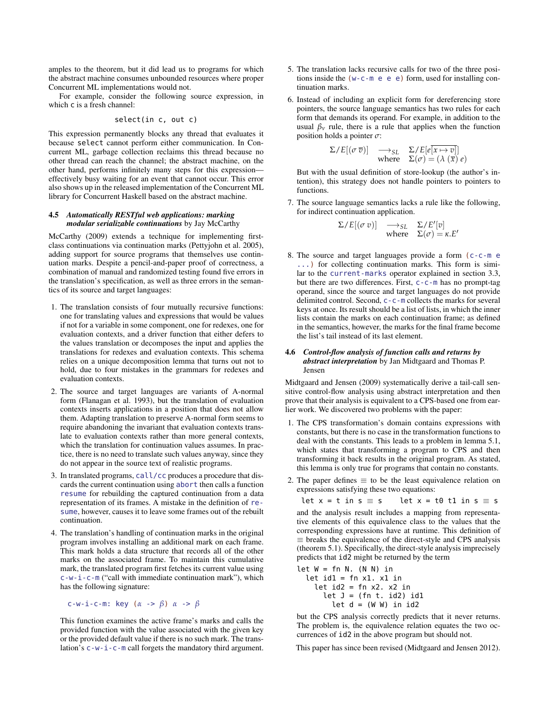amples to the theorem, but it did lead us to programs for which the abstract machine consumes unbounded resources where proper Concurrent ML implementations would not.

For example, consider the following source expression, in which c is a fresh channel:

select(in c, out c)

This expression permanently blocks any thread that evaluates it because select cannot perform either communication. In Concurrent ML, garbage collection reclaims this thread because no other thread can reach the channel; the abstract machine, on the other hand, performs infinitely many steps for this expression effectively busy waiting for an event that cannot occur. This error also shows up in the released implementation of the Concurrent ML library for Concurrent Haskell based on the abstract machine.

#### 4.5 *Automatically RESTful web applications: marking modular serializable continuations* by Jay McCarthy

McCarthy (2009) extends a technique for implementing firstclass continuations via continuation marks (Pettyjohn et al. 2005), adding support for source programs that themselves use continuation marks. Despite a pencil-and-paper proof of correctness, a combination of manual and randomized testing found five errors in the translation's specification, as well as three errors in the semantics of its source and target languages:

- 1. The translation consists of four mutually recursive functions: one for translating values and expressions that would be values if not for a variable in some component, one for redexes, one for evaluation contexts, and a driver function that either defers to the values translation or decomposes the input and applies the translations for redexes and evaluation contexts. This schema relies on a unique decomposition lemma that turns out not to hold, due to four mistakes in the grammars for redexes and evaluation contexts.
- 2. The source and target languages are variants of A-normal form (Flanagan et al. 1993), but the translation of evaluation contexts inserts applications in a position that does not allow them. Adapting translation to preserve A-normal form seems to require abandoning the invariant that evaluation contexts translate to evaluation contexts rather than more general contexts, which the translation for continuation values assumes. In practice, there is no need to translate such values anyway, since they do not appear in the source text of realistic programs.
- 3. In translated programs, call/cc produces a procedure that discards the current continuation using abort then calls a function resume for rebuilding the captured continuation from a data representation of its frames. A mistake in the definition of resume, however, causes it to leave some frames out of the rebuilt continuation.
- 4. The translation's handling of continuation marks in the original program involves installing an additional mark on each frame. This mark holds a data structure that records all of the other marks on the associated frame. To maintain this cumulative mark, the translated program first fetches its current value using c-w-i-c-m ("call with immediate continuation mark"), which has the following signature:

c-w-i-c-m: key (*α* -> *β*) *α* -> *β*

This function examines the active frame's marks and calls the provided function with the value associated with the given key or the provided default value if there is no such mark. The translation's c-w-i-c-m call forgets the mandatory third argument.

- 5. The translation lacks recursive calls for two of the three positions inside the (w-c-m e e e) form, used for installing continuation marks.
- 6. Instead of including an explicit form for dereferencing store pointers, the source language semantics has two rules for each form that demands its operand. For example, in addition to the usual  $β<sub>ν</sub>$  rule, there is a rule that applies when the function position holds a pointer *σ*:

$$
\Sigma / E[(\sigma \overline{\sigma})] \longrightarrow_{SL} \Sigma / E[e[\overline{x \mapsto \sigma}]]
$$
  
where  $\Sigma(\sigma) = (\lambda \ (\overline{x}) \ e)$ 

But with the usual definition of store-lookup (the author's intention), this strategy does not handle pointers to pointers to functions.

7. The source language semantics lacks a rule like the following, for indirect continuation application.

$$
\Sigma/E[(\sigma v)] \longrightarrow_{SL} \Sigma/E'[v]
$$
  
where  $\Sigma(\sigma) = \kappa.E'$ 

8. The source and target languages provide a form (c-c-m e ...) for collecting continuation marks. This form is similar to the current-marks operator explained in section 3.3, but there are two differences. First, c-c-m has no prompt-tag operand, since the source and target languages do not provide delimited control. Second, c-c-m collects the marks for several keys at once. Its result should be a list of lists, in which the inner lists contain the marks on each continuation frame; as defined in the semantics, however, the marks for the final frame become the list's tail instead of its last element.

### 4.6 *Control-flow analysis of function calls and returns by abstract interpretation* by Jan Midtgaard and Thomas P. Jensen

Midtgaard and Jensen (2009) systematically derive a tail-call sensitive control-flow analysis using abstract interpretation and then prove that their analysis is equivalent to a CPS-based one from earlier work. We discovered two problems with the paper:

- 1. The CPS transformation's domain contains expressions with constants, but there is no case in the transformation functions to deal with the constants. This leads to a problem in lemma 5.1, which states that transforming a program to CPS and then transforming it back results in the original program. As stated, this lemma is only true for programs that contain no constants.
- 2. The paper defines  $\equiv$  to be the least equivalence relation on expressions satisfying these two equations:

let  $x = t$  in  $s \equiv s$  let  $x = t0$  t1 in  $s \equiv s$ 

and the analysis result includes a mapping from representative elements of this equivalence class to the values that the corresponding expressions have at runtime. This definition of ≡ breaks the equivalence of the direct-style and CPS analysis (theorem 5.1). Specifically, the direct-style analysis imprecisely predicts that id2 might be returned by the term

let  $W = fn N. (N N) in$ let  $id1 = fn \times 1$ .  $x1 in$ let  $id2 = fn \times 2$ .  $x2 \text{ in}$ let  $J = (fn t. id2) id1$ let  $d = (W W)$  in id2

but the CPS analysis correctly predicts that it never returns. The problem is, the equivalence relation equates the two occurrences of id2 in the above program but should not.

This paper has since been revised (Midtgaard and Jensen 2012).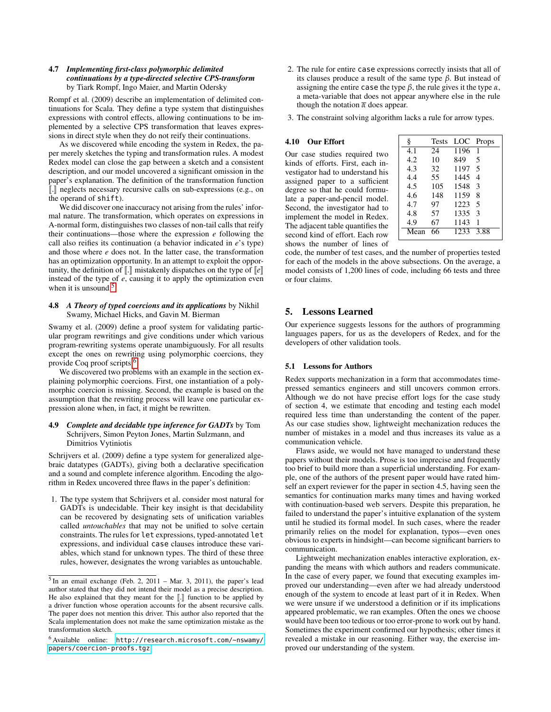#### 4.7 *Implementing first-class polymorphic delimited continuations by a type-directed selective CPS-transform* by Tiark Rompf, Ingo Maier, and Martin Odersky

Rompf et al. (2009) describe an implementation of delimited continuations for Scala. They define a type system that distinguishes expressions with control effects, allowing continuations to be implemented by a selective CPS transformation that leaves expressions in direct style when they do not reify their continuations.

As we discovered while encoding the system in Redex, the paper merely sketches the typing and transformation rules. A modest Redex model can close the gap between a sketch and a consistent description, and our model uncovered a significant omission in the paper's explanation. The definition of the transformation function  $\llbracket . \rrbracket$  neglects necessary recursive calls on sub-expressions (e.g., on the operand of shift).

We did discover one inaccuracy not arising from the rules' informal nature. The transformation, which operates on expressions in A-normal form, distinguishes two classes of non-tail calls that reify their continuations—those where the expression *e* following the call also reifies its continuation (a behavior indicated in *e*'s type) and those where *e* does not. In the latter case, the transformation has an optimization opportunity. In an attempt to exploit the opportunity, the definition of  $\llbracket . \rrbracket$  mistakenly dispatches on the type of  $\llbracket e \rrbracket$ instead of the type of *e*, causing it to apply the optimization even when it is unsound.<sup>[5](#page-8-0)</sup>

#### 4.8 *A Theory of typed coercions and its applications* by Nikhil Swamy, Michael Hicks, and Gavin M. Bierman

Swamy et al. (2009) define a proof system for validating particular program rewritings and give conditions under which various program-rewriting systems operate unambiguously. For all results except the ones on rewriting using polymorphic coercions, they provide Coq proof scripts.[6](#page-8-1)

We discovered two problems with an example in the section explaining polymorphic coercions. First, one instantiation of a polymorphic coercion is missing. Second, the example is based on the assumption that the rewriting process will leave one particular expression alone when, in fact, it might be rewritten.

#### 4.9 *Complete and decidable type inference for GADTs* by Tom Schrijvers, Simon Peyton Jones, Martin Sulzmann, and Dimitrios Vytiniotis

Schrijvers et al. (2009) define a type system for generalized algebraic datatypes (GADTs), giving both a declarative specification and a sound and complete inference algorithm. Encoding the algorithm in Redex uncovered three flaws in the paper's definition:

1. The type system that Schrijvers et al. consider most natural for GADTs is undecidable. Their key insight is that decidability can be recovered by designating sets of unification variables called *untouchables* that may not be unified to solve certain constraints. The rules for let expressions, typed-annotated let expressions, and individual case clauses introduce these variables, which stand for unknown types. The third of these three rules, however, designates the wrong variables as untouchable.

- 2. The rule for entire case expressions correctly insists that all of its clauses produce a result of the same type *β*. But instead of assigning the entire case the type  $\beta$ , the rule gives it the type  $\alpha$ , a meta-variable that does not appear anywhere else in the rule though the notation  $\bar{\alpha}$  does appear.
- 3. The constraint solving algorithm lacks a rule for arrow types.

#### 4.10 Our Effort

Our case studies required two kinds of efforts. First, each investigator had to understand his assigned paper to a sufficient degree so that he could formulate a paper-and-pencil model. Second, the investigator had to implement the model in Redex. The adjacent table quantifies the second kind of effort. Each row shows the number of lines of

| ş    | Tests |           | LOC Props    |
|------|-------|-----------|--------------|
| 4.1  | 24    | 1196      | $\mathbf{1}$ |
| 4.2  | 10    | 849       | 5            |
| 4.3  | 32    | 1197      | 5            |
| 4.4  | 55    | 1445      | 4            |
| 4.5  | 105   | 1548      | 3            |
| 4.6  | 148   | 1159      | 8            |
| 4.7  | 97    | 1223      | 5            |
| 4.8  | 57    | 1335      | 3            |
| 4.9  | 67    | 1143      | 1            |
| Mean | 66    | 1233 3.88 |              |

code, the number of test cases, and the number of properties tested for each of the models in the above subsections. On the average, a model consists of 1,200 lines of code, including 66 tests and three or four claims.

# 5. Lessons Learned

Our experience suggests lessons for the authors of programming languages papers, for us as the developers of Redex, and for the developers of other validation tools.

#### 5.1 Lessons for Authors

Redex supports mechanization in a form that accommodates timepressed semantics engineers and still uncovers common errors. Although we do not have precise effort logs for the case study of section 4, we estimate that encoding and testing each model required less time than understanding the content of the paper. As our case studies show, lightweight mechanization reduces the number of mistakes in a model and thus increases its value as a communication vehicle.

Flaws aside, we would not have managed to understand these papers without their models. Prose is too imprecise and frequently too brief to build more than a superficial understanding. For example, one of the authors of the present paper would have rated himself an expert reviewer for the paper in section 4.5, having seen the semantics for continuation marks many times and having worked with continuation-based web servers. Despite this preparation, he failed to understand the paper's intuitive explanation of the system until he studied its formal model. In such cases, where the reader primarily relies on the model for explanation, typos—even ones obvious to experts in hindsight—can become significant barriers to communication.

Lightweight mechanization enables interactive exploration, expanding the means with which authors and readers communicate. In the case of every paper, we found that executing examples improved our understanding—even after we had already understood enough of the system to encode at least part of it in Redex. When we were unsure if we understood a definition or if its implications appeared problematic, we ran examples. Often the ones we choose would have been too tedious or too error-prone to work out by hand. Sometimes the experiment confirmed our hypothesis; other times it revealed a mistake in our reasoning. Either way, the exercise improved our understanding of the system.

<span id="page-8-0"></span> $<sup>5</sup>$  In an email exchange (Feb. 2, 2011 – Mar. 3, 2011), the paper's lead</sup> author stated that they did not intend their model as a precise description. He also explained that they meant for the [.] function to be applied by a driver function whose operation accounts for the absent recursive calls. The paper does not mention this driver. This author also reported that the Scala implementation does not make the same optimization mistake as the transformation sketch.

<span id="page-8-1"></span><sup>6</sup> Available online: [http://research.microsoft.com/~nswamy/](http://research.microsoft.com/~nswamy/papers/coercion-proofs.tgz) [papers/coercion-proofs.tgz](http://research.microsoft.com/~nswamy/papers/coercion-proofs.tgz)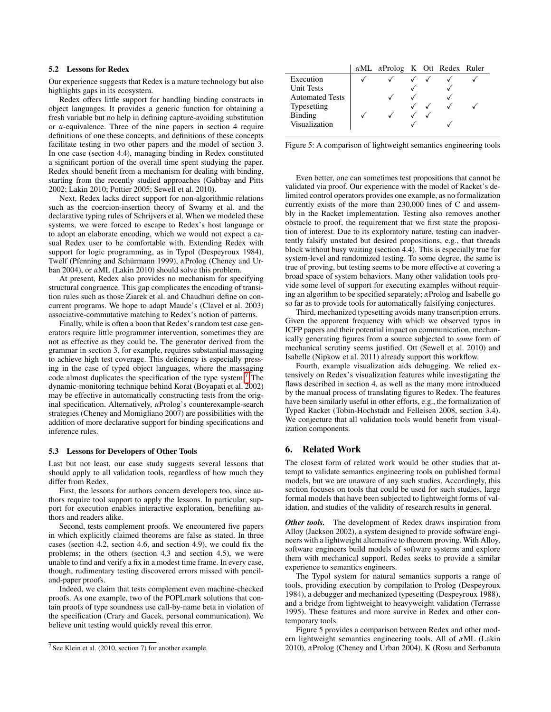#### 5.2 Lessons for Redex

Our experience suggests that Redex is a mature technology but also highlights gaps in its ecosystem.

Redex offers little support for handling binding constructs in object languages. It provides a generic function for obtaining a fresh variable but no help in defining capture-avoiding substitution or  $\alpha$ -equivalence. Three of the nine papers in section 4 require definitions of one these concepts, and definitions of these concepts facilitate testing in two other papers and the model of section 3. In one case (section 4.4), managing binding in Redex constituted a significant portion of the overall time spent studying the paper. Redex should benefit from a mechanism for dealing with binding, starting from the recently studied approaches (Gabbay and Pitts 2002; Lakin 2010; Pottier 2005; Sewell et al. 2010).

Next, Redex lacks direct support for non-algorithmic relations such as the coercion-insertion theory of Swamy et al. and the declarative typing rules of Schrijvers et al. When we modeled these systems, we were forced to escape to Redex's host language or to adopt an elaborate encoding, which we would not expect a casual Redex user to be comfortable with. Extending Redex with support for logic programming, as in Typol (Despeyroux 1984), Twelf (Pfenning and Schürmann 1999), *α*Prolog (Cheney and Urban 2004), or *α*ML (Lakin 2010) should solve this problem.

At present, Redex also provides no mechanism for specifying structural congruence. This gap complicates the encoding of transition rules such as those Ziarek et al. and Chaudhuri define on concurrent programs. We hope to adapt Maude's (Clavel et al. 2003) associative-commutative matching to Redex's notion of patterns.

Finally, while is often a boon that Redex's random test case generators require little programmer intervention, sometimes they are not as effective as they could be. The generator derived from the grammar in section 3, for example, requires substantial massaging to achieve high test coverage. This deficiency is especially pressing in the case of typed object languages, where the massaging code almost duplicates the specification of the type system.[7](#page-9-0) The dynamic-monitoring technique behind Korat (Boyapati et al. 2002) may be effective in automatically constructing tests from the original specification. Alternatively, *α*Prolog's counterexample-search strategies (Cheney and Momigliano 2007) are possibilities with the addition of more declarative support for binding specifications and inference rules.

#### 5.3 Lessons for Developers of Other Tools

Last but not least, our case study suggests several lessons that should apply to all validation tools, regardless of how much they differ from Redex.

First, the lessons for authors concern developers too, since authors require tool support to apply the lessons. In particular, support for execution enables interactive exploration, benefiting authors and readers alike.

Second, tests complement proofs. We encountered five papers in which explicitly claimed theorems are false as stated. In three cases (section 4.2, section 4.6, and section 4.9), we could fix the problems; in the others (section 4.3 and section 4.5), we were unable to find and verify a fix in a modest time frame. In every case, though, rudimentary testing discovered errors missed with penciland-paper proofs.

Indeed, we claim that tests complement even machine-checked proofs. As one example, two of the POPLmark solutions that contain proofs of type soundness use call-by-name beta in violation of the specification (Crary and Gacek, personal communication). We believe unit testing would quickly reveal this error.

|                        | $\alpha$ ML $\alpha$ Prolog K Ott Redex Ruler |  |  |
|------------------------|-----------------------------------------------|--|--|
| Execution              |                                               |  |  |
| <b>Unit Tests</b>      |                                               |  |  |
| <b>Automated Tests</b> |                                               |  |  |
| Typesetting            |                                               |  |  |
| Binding                |                                               |  |  |
| Visualization          |                                               |  |  |

Figure 5: A comparison of lightweight semantics engineering tools

Even better, one can sometimes test propositions that cannot be validated via proof. Our experience with the model of Racket's delimited control operators provides one example, as no formalization currently exists of the more than 230,000 lines of C and assembly in the Racket implementation. Testing also removes another obstacle to proof, the requirement that we first state the proposition of interest. Due to its exploratory nature, testing can inadvertently falsify unstated but desired propositions, e.g., that threads block without busy waiting (section 4.4). This is especially true for system-level and randomized testing. To some degree, the same is true of proving, but testing seems to be more effective at covering a broad space of system behaviors. Many other validation tools provide some level of support for executing examples without requiring an algorithm to be specified separately; *α*Prolog and Isabelle go so far as to provide tools for automatically falsifying conjectures.

Third, mechanized typesetting avoids many transcription errors. Given the apparent frequency with which we observed typos in ICFP papers and their potential impact on communication, mechanically generating figures from a source subjected to *some* form of mechanical scrutiny seems justified. Ott (Sewell et al. 2010) and Isabelle (Nipkow et al. 2011) already support this workflow.

Fourth, example visualization aids debugging. We relied extensively on Redex's visualization features while investigating the flaws described in section 4, as well as the many more introduced by the manual process of translating figures to Redex. The features have been similarly useful in other efforts, e.g., the formalization of Typed Racket (Tobin-Hochstadt and Felleisen 2008, section 3.4). We conjecture that all validation tools would benefit from visualization components.

### 6. Related Work

The closest form of related work would be other studies that attempt to validate semantics engineering tools on published formal models, but we are unaware of any such studies. Accordingly, this section focuses on tools that could be used for such studies, large formal models that have been subjected to lightweight forms of validation, and studies of the validity of research results in general.

*Other tools.* The development of Redex draws inspiration from Alloy (Jackson 2002), a system designed to provide software engineers with a lightweight alternative to theorem proving. With Alloy, software engineers build models of software systems and explore them with mechanical support. Redex seeks to provide a similar experience to semantics engineers.

The Typol system for natural semantics supports a range of tools, providing execution by compilation to Prolog (Despeyroux 1984), a debugger and mechanized typesetting (Despeyroux 1988), and a bridge from lightweight to heavyweight validation (Terrasse 1995). These features and more survive in Redex and other contemporary tools.

Figure 5 provides a comparison between Redex and other modern lightweight semantics engineering tools. All of *α*ML (Lakin 2010), *α*Prolog (Cheney and Urban 2004), K (Rosu and Serbanuta

<span id="page-9-0"></span><sup>7</sup> See Klein et al. (2010, section 7) for another example.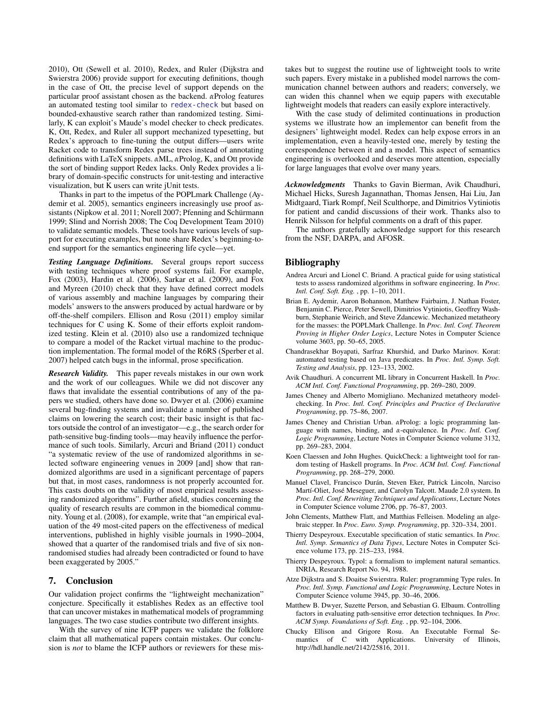2010), Ott (Sewell et al. 2010), Redex, and Ruler (Dijkstra and Swierstra 2006) provide support for executing definitions, though in the case of Ott, the precise level of support depends on the particular proof assistant chosen as the backend. *α*Prolog features an automated testing tool similar to redex-check but based on bounded-exhaustive search rather than randomized testing. Similarly, K can exploit's Maude's model checker to check predicates. K, Ott, Redex, and Ruler all support mechanized typesetting, but Redex's approach to fine-tuning the output differs—users write Racket code to transform Redex parse trees instead of annotating definitions with LaTeX snippets. *α*ML, *α*Prolog, K, and Ott provide the sort of binding support Redex lacks. Only Redex provides a library of domain-specific constructs for unit-testing and interactive visualization, but K users can write jUnit tests.

Thanks in part to the impetus of the POPLmark Challenge (Aydemir et al. 2005), semantics engineers increasingly use proof assistants (Nipkow et al. 2011; Norell 2007; Pfenning and Schürmann 1999; Slind and Norrish 2008; The Coq Development Team 2010) to validate semantic models. These tools have various levels of support for executing examples, but none share Redex's beginning-toend support for the semantics engineering life cycle—yet.

*Testing Language Definitions.* Several groups report success with testing techniques where proof systems fail. For example, Fox (2003), Hardin et al. (2006), Sarkar et al. (2009), and Fox and Myreen (2010) check that they have defined correct models of various assembly and machine languages by comparing their models' answers to the answers produced by actual hardware or by off-the-shelf compilers. Ellison and Rosu (2011) employ similar techniques for C using K. Some of their efforts exploit randomized testing. Klein et al. (2010) also use a randomized technique to compare a model of the Racket virtual machine to the production implementation. The formal model of the R6RS (Sperber et al. 2007) helped catch bugs in the informal, prose specification.

*Research Validity.* This paper reveals mistakes in our own work and the work of our colleagues. While we did not discover any flaws that invalidate the essential contributions of any of the papers we studied, others have done so. Dwyer et al. (2006) examine several bug-finding systems and invalidate a number of published claims on lowering the search cost; their basic insight is that factors outside the control of an investigator—e.g., the search order for path-sensitive bug-finding tools—may heavily influence the performance of such tools. Similarly, Arcuri and Briand (2011) conduct "a systematic review of the use of randomized algorithms in selected software engineering venues in 2009 [and] show that randomized algorithms are used in a significant percentage of papers but that, in most cases, randomness is not properly accounted for. This casts doubts on the validity of most empirical results assessing randomized algorithms". Further afield, studies concerning the quality of research results are common in the biomedical community. Young et al. (2008), for example, write that "an empirical evaluation of the 49 most-cited papers on the effectiveness of medical interventions, published in highly visible journals in 1990–2004, showed that a quarter of the randomised trials and five of six nonrandomised studies had already been contradicted or found to have been exaggerated by 2005."

### 7. Conclusion

Our validation project confirms the "lightweight mechanization" conjecture. Specifically it establishes Redex as an effective tool that can uncover mistakes in mathematical models of programming languages. The two case studies contribute two different insights.

With the survey of nine ICFP papers we validate the folklore claim that all mathematical papers contain mistakes. Our conclusion is *not* to blame the ICFP authors or reviewers for these mistakes but to suggest the routine use of lightweight tools to write such papers. Every mistake in a published model narrows the communication channel between authors and readers; conversely, we can widen this channel when we equip papers with executable lightweight models that readers can easily explore interactively.

With the case study of delimited continuations in production systems we illustrate how an implementor can benefit from the designers' lightweight model. Redex can help expose errors in an implementation, even a heavily-tested one, merely by testing the correspondence between it and a model. This aspect of semantics engineering is overlooked and deserves more attention, especially for large languages that evolve over many years.

*Acknowledgments* Thanks to Gavin Bierman, Avik Chaudhuri, Michael Hicks, Suresh Jagannathan, Thomas Jensen, Hai Liu, Jan Midtgaard, Tiark Rompf, Neil Sculthorpe, and Dimitrios Vytiniotis for patient and candid discussions of their work. Thanks also to Henrik Nilsson for helpful comments on a draft of this paper.

The authors gratefully acknowledge support for this research from the NSF, DARPA, and AFOSR.

#### Bibliography

- Andrea Arcuri and Lionel C. Briand. A practical guide for using statistical tests to assess randomized algorithms in software engineering. In *Proc. Intl. Conf. Soft. Eng.* , pp. 1–10, 2011.
- Brian E. Aydemir, Aaron Bohannon, Matthew Fairbairn, J. Nathan Foster, Benjamin C. Pierce, Peter Sewell, Dimitrios Vytiniotis, Geoffrey Washburn, Stephanie Weirich, and Steve Zdancewic. Mechanized metatheory for the masses: the POPLMark Challenge. In *Proc. Intl. Conf. Theorem Proving in Higher Order Logics*, Lecture Notes in Computer Science volume 3603, pp. 50–65, 2005.
- Chandrasekhar Boyapati, Sarfraz Khurshid, and Darko Marinov. Korat: automated testing based on Java predicates. In *Proc. Intl. Symp. Soft. Testing and Analysis*, pp. 123–133, 2002.
- Avik Chaudhuri. A concurrent ML library in Concurrent Haskell. In *Proc. ACM Intl. Conf. Functional Programming*, pp. 269–280, 2009.
- James Cheney and Alberto Momigliano. Mechanized metatheory modelchecking. In *Proc. Intl. Conf. Principles and Practice of Declarative Programming*, pp. 75–86, 2007.
- James Cheney and Christian Urban. *α*Prolog: a logic programming language with names, binding, and *α*-equivalence. In *Proc. Intl. Conf. Logic Programming*, Lecture Notes in Computer Science volume 3132, pp. 269–283, 2004.
- Koen Claessen and John Hughes. QuickCheck: a lightweight tool for random testing of Haskell programs. In *Proc. ACM Intl. Conf. Functional Programming*, pp. 268–279, 2000.
- Manuel Clavel, Francisco Durán, Steven Eker, Patrick Lincoln, Narciso Martí-Oliet, José Meseguer, and Carolyn Talcott. Maude 2.0 system. In *Proc. Intl. Conf. Rewriting Techniques and Applications*, Lecture Notes in Computer Science volume 2706, pp. 76–87, 2003.
- John Clements, Matthew Flatt, and Matthias Felleisen. Modeling an algebraic stepper. In *Proc. Euro. Symp. Programming*, pp. 320–334, 2001.
- Thierry Despeyroux. Executable specification of static semantics. In *Proc. Intl. Symp. Semantics of Data Types*, Lecture Notes in Computer Science volume 173, pp. 215–233, 1984.
- Thierry Despeyroux. Typol: a formalism to implement natural semantics. INRIA, Research Report No. 94, 1988.
- Atze Dijkstra and S. Doaitse Swierstra. Ruler: programming Type rules. In *Proc. Intl. Symp. Functional and Logic Programming*, Lecture Notes in Computer Science volume 3945, pp. 30–46, 2006.
- Matthew B. Dwyer, Suzette Person, and Sebastian G. Elbaum. Controlling factors in evaluating path-sensitive error detection techniques. In *Proc. ACM Symp. Foundations of Soft. Eng.* , pp. 92–104, 2006.
- Chucky Ellison and Grigore Rosu. An Executable Formal Semantics of C with Applications. University of Illinois, http://hdl.handle.net/2142/25816, 2011.